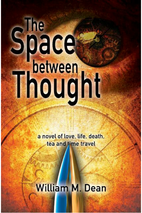# Shace<br>The Space

a novel of love, life, death, tea and time travel

# **William M. Dean**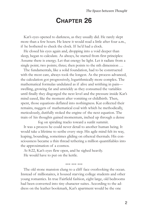## **CHAPTER 26**

Kat's eyes opened to darkness, as they usually did. He rarely slept more than a few hours. He knew it would read a little after four a.m., if he bothered to check the clock. If he'd had a clock.

He closed his eyes again and, dropping into a void deeper than sleep, began to calculate. As always, he started from first principles: Assume there is energy. Let that energy be light. Let it radiate from a single point; two points; three; then points to the nth dimension ...

The fundamentals, like a solid foundation, had to be constructed with the most care, always took the longest. As the process advanced, the calculation got progressively, logarithmically more complex. The mathematical formulas undulated as if alive and writhing in pain swelling, growing fat and unwieldy as they consumed the variables until finally they disgorged the next level and the pressure inside Kat's mind eased, like the moment after vomiting or childbirth. Then, spent, those equations deflated into nothingness. Kat collected their remains, nuggets of mathematical coal with which he methodically, meticulously, dutifully stoked the engine of the next equation. The train of his thoughts gained momentum, inched up through a dense

fog on spiraling tracks toward a sunlit summit. It was a process he could never detail to another human being. It would take a lifetime to scribe every step. His agile mind felt its way, leaping, bounding, sometimes gliding on ethereal thermals. His consciousness became a thin thread tethering a million quantifiables into the approximation of a cosmos.

At 8:22, Kat's eyes flew open, and he sighed heavily. He would have to put on the kettle.

### \*\*\* \*\*\* \*\*\*

The old stone mansion clung to a cliff face overlooking the ocean. Instead of millionaires, it housed starving college students and other young romantics. In true Fairfield fashion, eight large, old bedrooms had been converted into tiny character suites. According to the address on the leather bookmark, Kat's apartment would be the one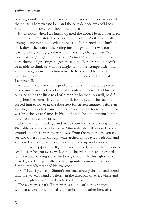below ground. The entrance was around back, on the ocean side of the house. There was no bell, and the outside door was solid oak. Sound did not carry far below ground level.

It was noon when Kat finally opened the door. He had oversized, green, fuzzy, monster-claw slippers on his feet. As if it were all arranged and nothing needed to be said, Kat turned and shuffled back down the stairs, descending into the ground. It was not the warmest of greetings, but it was a refreshing change from "you look horrible/sick/tired/miserable/a mess," which was the standard theme of greetings he got these days. Earlier, Simon hadn't been able to think of what he might say to the strange little man, and nothing occurred to him now. He followed. The descent, the dark stone walls, reminded him of the long walk to Hannibal Lecter's cell.

An odd mix of emotions pricked Simon's innards. The person he'd come to respect as a brilliant scientific authority had turned out also to be the little toad of a man he loathed. As well, he'd finally humbled himself enough to ask for help, and the toad had forced him to hover at the doorstep for fifteen minutes before answering. He was both angered and in awe, and it teased at him, like wet branches over flame. In his confusion, he simultaneously smoldered and was embarrassed.

The apartment was large and made entirely of stone, dungeon-like. Probably a converted wine cellar, Simon decided. It was well below ground, and there were no windows. From the main room, you could see two other rooms through wide arched doorways, a bedroom and kitchen. Electricity ran along floor edges and up wall corners inside dull gray metal pipes. The lighting was subdued; low-wattage sconces set, like torches, on every wall. A huge hearth had been upgraded with a wood-burning stove. Embers glowed dully through smoketarred glass. Unexpectedly, the large granite room was very warm. Simon immediately shed his overcoat.

"Sit." Kat sighed as if Simon's presence already drained and bored him. He waved a hand carelessly in the direction of everywhere and without a glance continued on to the kitchen.

The room was stark. There were a couple of darkly stained, old wooden chairs—one draped with lambskin, the other beneath a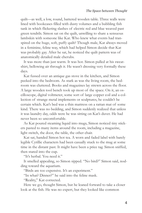quilt—as well, a low, round, battered wooden table. Three walls were lined with bookcases filled with dusty volumes and a bubbling fish tank in which flickering slashes of electric red and blue weaved past green tendrils. Simon sat on the quilt, unwilling to share a sensuous lambskin with someone like Kat. Who knew what events had transpired on the huge, soft, puffy quilt? Though male, Kat always moved in a feminine, feline way, which had helped Simon decide that Kat was probably gay. After he sat, he noticed the quilt pattern was of anatomically detailed male cherubs.

It was more than just warm. It was hot. Simon pulled at his sweatshirt, bellowing air through it. He wasn't dressing very formally these days.

Kat fussed over an antique gas stove in the kitchen, and Simon peeked into the bedroom. As stark as was the living room, the bedroom was cluttered. Books and magazines lay strewn across the floor. A large wooden tool bench took up most of the space. On it, an oscilloscope, digital voltmeter, some sort of large copper coil and a collection of strange metal implements or sculptures, he couldn't be certain which. Kat's bed was a thin mattress on a rattan mat of some kind. There was no bedding, and Simon suddenly realized that unless it was laundry day, odds were he was sitting on Kat's duvet. He had never been so uncomfortable.

As Kat poured steaming liquid into mugs, Simon noticed tiny stickers pasted to many items around the room, including a magazine, light switch, the door, the table, the other chair.

Kat sat, handed Simon hot tea. A worn and faded label with barely legible Cyrillic characters had been casually stuck to the mug at some time in the distant past. It might have been a price tag. Simon sniffed, then stared into the cup.

"It's herbal. You need it."

It smelled appealing, so Simon sipped. "No bird?" Simon said, nodding toward the aquarium.

"Birds are too expensive. It's an experiment."

"In what? Dinner?" he said into the feline mask.

"Reality," Kat corrected.

Here we go, thought Simon, but he leaned forward to take a closer look at the fish. He was no expert, but they looked like common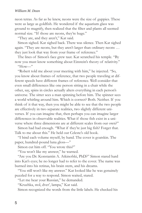neon tetras. As far as he knew, neons were the size of guppies. These were as large as goldfish. He wondered if the aquarium glass was ground to magnify, then realized that the filter and plants all seemed normal size. "If those are neons, they're huge."

"They are, and they aren't," Kat said.

Simon sighed. Kat sighed back. There was silence. Then Kat sighed again. "They are neons, but they aren't larger than ordinary neons … they just look that way from your frame of reference."

The lines of Simon's face grew taut. Kat scratched his temple. "By now you must know something about Einstein's theory of relativity."

"How—"

"Robert told me about your meeting with him," he injected. "So, you know about frames of reference, that two people traveling at different speeds have different frames of reference. Well consider that even small differences like one person sitting in a chair while the other, say, spins in circles actually alters everything in each person's universe. The sitter sees a man spinning before him. The spinner sees a world whirling around him. Which is correct? Both. Neither. If you think of it that way, then you might be able to see that the two people are effectively in two separate realities, two slightly different universes. If you can imagine that, then perhaps you can imagine larger differences in observable realities. What if those fish exist in a universe where three dimensions are at different scales from our own?"

Simon had had enough. "What if they're just big fish? Forget that. Talk to me about this." He held out Celeste's old book.

"I bind each volume myself, by hand. The cover is goatskin. The paper, hundred-pound luna gloss—"

Simon cut him off. "You wrote this?"

"You won't like my answer," he warned.

"Are you Dr. Konstantin A. Atkinofski, PhD?" Simon stared hard into Kat's eyes; he no longer had to refer to the cover. The name was burned into his retinas, his brain stem, and his dreams.

"You still won't like my answer." Kat looked like he was genuinely puzzled for a way to respond. Simon waited, stared.

"Let me hear your Russian," he demanded.

"Kruzhka, stol, dver', lampa," Kat said.

Simon recognized the words from the little labels. He checked his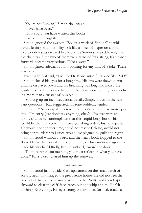mug.

"You're not Russian," Simon challenged.

"Never have been."

"How could you have written this book?"

"I wrote it in English."

Simon ignored the evasion. "So, it's a work of fiction?" he whispered, letting that possibility sink like a sheet of paper on a pond. Old wooden slats creaked like wicker as Simon slumped heavily into the chair. As if the two of them were attached by a string, Kat leaned forward, became very serious. "Not a word."

Simon glared sideways at him, looking for any hint of a joke. There was none.

Eventually, Kat said, "I will be Dr. Konstantin A. Atkinofski, PhD." Simon closed his eyes for a long time. His lips were drawn down until he displayed jowls and his breathing was long and moist. He

wanted to cry. It was time to admit that Kat knew nothing, was nothing more than a twister of phrases.

"So hung up on inconsequential details. Simply focus on the relevant questions," Kat suggested, his tone suddenly tender.

"Shut up!" Simon spat. Then with taut control, he spoke more quietly. "I'm sorry. Just don't say anything, okay?" His eyes were still tightly shut as he contemplated that this stupid long shot of his would be the final scene in his two-year-long ordeal, his holy quest. He would not conquer time, could not rescue Celeste, would not bring her murderer to justice, would live plagued by guilt and regret.

Simon stood without a word, and the heavy book flopped to the floor. He barely noticed. Through the fog of his emotional agony, he made his way half-blindly, like a drunkard, toward the door.

"To know what you must do, you must reflect on what you have done." Kat's words chased him up the stairwell.

\*\*\* \*\*\* \*\*\*

Simon stood just outside Kat's apartment on the small patch of scruffy lawn that fringed the great stone house. He did not feel the cold wind that lashed foamy waves into the Pacific and then leapt skyward to clear the cliff face, reach out and whip at him. He felt nothing. Everything. His eyes stung, and droplets formed, traced a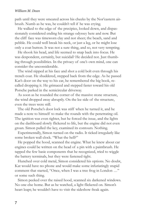path until they were smeared across his cheeks by the Nor'eastern airbrush. Numb as he was, he couldn't tell if he was crying.

He walked to the edge of the precipice, looked down, and dispassionately considered ending his strange odyssey here and now. But the cliff face was timeworn clay and not sheer; the beach, sand and pebble. He could well break his neck, or just a leg, or he might lose only a coat button. It was not a sure thing, and so, not very tempting.

He shook his head, and life seemed to snap back into focus. He was despondent, certainly, but suicidal? He decided not. Just thumbing through possibilities. In the privacy of one's own mind, one can consider the unconsiderable.

The wind nipped at his face and shot a cold bolt even through his trench coat. He shuddered, stepped back from the edge. As he passed Kat's door on the way to his car, he remembered the big book, recalled dropping it. He grimaced and stepped faster toward his old Porsche parked in the semicircular driveway.

As soon as he rounded the corner of the massive stone structure, the wind dropped away abruptly. On the lee side of the structure, even the trees were still.

The old Porsche's door lock was stiff when he turned it, and he made a note to himself to make the rounds with the penetrating oil. The ignition was even tighter, but he forced the issue, and the lights on the dashboard slowly flickered to life, but the engine did not even groan. Simon pulled the key, examined its contours. Nothing.

Experimentally, Simon turned on the radio. It ticked irregularly like some broken wall clock. "What the hell?"

He popped the hood, scanned the engine. What he knew about car engines could be written on the head of a pin with a paintbrush. He tapped the few basic components that he recognized, tried to wiggle the battery terminals, but they were fastened tight.

Hunched over cold metal, Simon considered his options. No doubt, Kat would have no phone and would make some infuriatingly stupid comment that started, "Once, when I was a tree frog in London …" or some such thing.

Simon peeked over the raised hood, scanned six darkened windows. No one else home. But as he watched, a light flickered on. Simon's heart leapt; he wouldn't have to visit the sideshow freak again.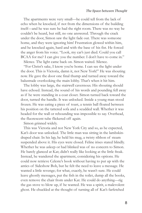The apartments were very small—he could tell from the lack of echo when he knocked, if not from the dimensions of the building itself—and he was sure he had the right room. There was no way he couldn't be heard, but still, no one answered. Through the crack under the door, Simon saw the light fade out. There was someone home, and they were ignoring him! Frustration glowed within him, and he knocked again, hard and with the base of his fist. He forced the anger from his voice. "Look, my car's just died. Could you call BCAA for me? I can give you the number. I don't have to come in."

Silence. The light came back on. Simon waited. Silence.

"For Christ's sake, I know you're home. I can see the light under the door. This is Victoria, damn it, not New York!" He was shouting now. He gave the door one final thump and turned away toward the balustrade overlooking the main lobby. That's when it hit him.

The lobby was large, the stairwell cavernous. His shouting should have echoed. Instead, the sound of his words and pounding fell away as if he were standing in a coat closet. Simon turned back toward the door, turned the handle. It was unlocked. Inside a young man stood frozen. He was eating a piece of toast, a tennis ball floated between his position on the tattered sofa and a scudded wall. Whether it was headed for the wall or rebounding was impossible to say. Overhead, the fluorescent tube flickered off again.

Simon grinned widely.

This was Victoria and not New York City and so, as he expected, Kat's door was unlocked. The little man was sitting in the lambskindraped chair. In his lap, he held his mug, a twisty ribbon of steam suspended above it. His eyes were closed. Feline irises stared blindly. Whether he was asleep or had blinked was of no concern to Simon. He barely glanced at Kat; didn't really like looking at the little freak. Instead, he wandered the apartment, considering his options. He could now retrieve Celeste's book without having to put up with the antics of Sideshow Bob, but he felt the need to leave a message. He wanted a little revenge; for what, exactly, he wasn't sure. He could leave ghostly messages, put the fish in the toilet, dump all the books, even remove the chair from under Kat. He could do anything—rig the gas stove to blow up, if he wanted. He was a spirit, a malevolent ghost. He chuckled at the thought of turning all of Kat's farfetched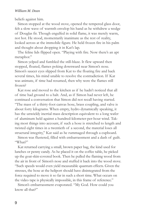### *William M. Dean*

beliefs against him.

Simon stopped at the wood stove, opened the tempered glass door, felt a slow wave of warmth envelop his hand as he withdrew a wedge of Douglas fir. Though engulfed in solid flame, it was merely warm, not hot. He stood, momentarily inanimate as the rest of reality, looked across at the immobile figure. He held frozen fire in his palm and thought about dropping it in Kat's lap.

The feline lids flipped open. "Playing with fire. Now there's an apt metaphor."

Simon yelped and fumbled the still-blaze. It flew upward then stopped, floated, flames poking downward near Simon's nose. Simon's saucer eyes slipped from Kat to the floating fire and back several times, his mind unable to resolve the contradiction. If Kat was animate, if time had resumed, then why were the flames still frozen?

Kat rose and moved to the kitchen as if he hadn't noticed that all of time had ground to a halt. And, as if Simon had never left, he continued a conversation that Simon did not recall having started. "The mass of a thirty-foot canvas hose, brass coupling, and valve is about forty kilograms. When empty, hydro dynamically speaking, it has the unwieldy inertial mass description equivalent to a long wafer of aluminum held against a hundred-kilometer-per-hour wind. Taking most things into account, if such a hose is stretched to length and twisted eight times in a twentieth of a second, the material loses all structural integrity," Kat said as he rummaged through a cupboard.

Simon was flustered, filled with embarrassment and a dash of guilt. "What?"

Kat returned carrying a small, brown paper bag, the kind used for lunches or penny candy. As he placed it on the coffee table, he picked up the goat-skin-covered book. Then he pulled the flaming wood from the air in front of Simon's nose and stuffed it back into the wood stove. "Such speeds would even yield measurable quantum effects. Given the stresses, the hose at the heliport should have disintegrated from the force required to move it so far in such a short time. What occurs on the video tape is physically impossible, in this frame of reference."

Simon's embarrassment evaporated. "My God. How could you know all that?"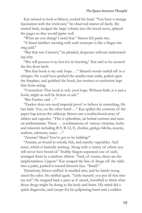Kat twisted to look at Simon, cocked his head. "You have a strange fascination with the irrelevant," he observed matter-of-factly. He turned back, wedged the large volume into the wood stove, splayed the pages so they would ignite well.

"What are you doing? I need that." Simon felt panic rise.

"A linear intellect messing with such concepts is like a finger stirring acid."

"But that was Celeste's," he pleaded, desperate without understanding why.

"She will possess it no less for its burning," Kat said as he secured the fire door latch.

"But that book is my only hope …" Simon's words trailed off to a whisper. He could have pushed the smaller man aside, pulled open the fireplace, and grabbed the book, but instinct or confusion kept him from acting.

"Correction: That book is only your hope. Without faith, it is just a book; might as well be fiction or ash."

"But Fawkes said …"

"Fawkes does not need imperial proof to believe in something. He has faith. You, on the other hand …" Kat spilled the contents of the paper bag across the tabletop. Simon saw a multicolored array of tablets and capsules. "This is ephedrine, an herbal excitant and natural antihistamine. These … combinations of various vitamins, herbs and minerals including B-9, B-12, E, choline, ginkgo biloba, arsenic, sodium, selenium, mace …"

"Arsenic? Mace? You've got to be kidding?"

"Arsenic, as found in cereals, fish, and starchy vegetables. And mace, which is basically nutmeg. Along with a variety of others you will never have heard of." Stubby fingers separated one of each, arranged them in a rainbow ribbon. "And, of course, these are the amphetamines. Uppers." Kat scraped the line of drugs off the table into a palm, pushed it toward Simon's face. "Smell."

Tentatively, Simon sniffed. It smelled nice, and he faintly recognized the odor. He sniffed again. "Little bastard, you put all that into my tea!" He stepped back a pace as if struck, horrified to think what those drugs might be doing to his body and brain. His mind did a quick diagnostic, and except for his palpitating heart and a sudden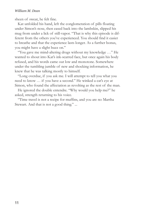### *William M. Dean*

sheen of sweat, he felt fine.

Kat unfolded his hand, left the conglomeration of pills floating under Simon's nose, then eased back into the lambskin, slipped his mug from under a lick of still-vapor. "That is why this episode is different from the others you've experienced. You should find it easier to breathe and that the experience lasts longer. As a further bonus, you might have a slight buzz on."

"You gave me mind-altering drugs without my knowledge …" He wanted to shout into Kat's ink-scarred face, but once again his body refused, and his words came out low and monotone. Somewhere under the tumbling jumble of new and shocking information, he knew that he was talking mostly to himself.

"Long overdue, if you ask me. I will attempt to tell you what you need to know … if you have a second." He winked a cat's eye at Simon, who found the affectation as revolting as the rest of the man.

He ignored the double entendre. "Why would you help me?" he asked, strength returning to his voice.

"Time travel is not a recipe for muffins, and you are no Martha Stewart. And that is not a good thing." ...